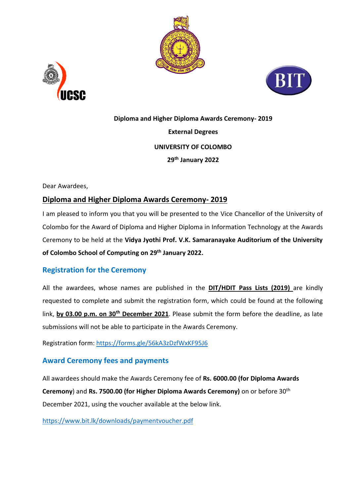





**Diploma and Higher Diploma Awards Ceremony- 2019 External Degrees UNIVERSITY OF COLOMBO 29th January 2022**

Dear Awardees,

## **Diploma and Higher Diploma Awards Ceremony- 2019**

I am pleased to inform you that you will be presented to the Vice Chancellor of the University of Colombo for the Award of Diploma and Higher Diploma in Information Technology at the Awards Ceremony to be held at the **Vidya Jyothi Prof. V.K. Samaranayake Auditorium of the University of Colombo School of Computing on 29th January 2022.** 

### **Registration for the Ceremony**

All the awardees, whose names are published in the **DIT/HDIT Pass Lists (2019)** are kindly requested to complete and submit the registration form, which could be found at the following link, **by 03.00 p.m. on 30th December 2021**. Please submit the form before the deadline, as late submissions will not be able to participate in the Awards Ceremony.

Registration form:<https://forms.gle/56kA3zDzfWxKF95J6>

# **Award Ceremony fees and payments**

All awardees should make the Awards Ceremony fee of **Rs. 6000.00 (for Diploma Awards Ceremony**) and **Rs. 7500.00 (for Higher Diploma Awards Ceremony)** on or before 30th December 2021, using the voucher available at the below link.

<https://www.bit.lk/downloads/paymentvoucher.pdf>